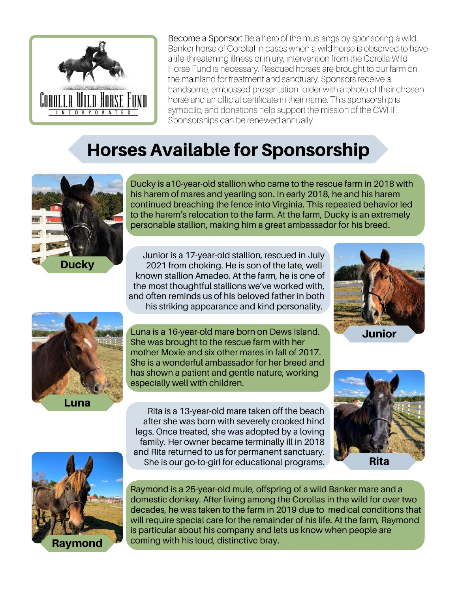

Become a Sponsor: Be a hero of the mustangs by sponsoring a wild Banker horse of Corolla! In cases when a wild horse is observed to have a life-threatening illness or injury, intervention from the Corolla Wild Horse Fund is necessary. Rescued horses are brought to our farm on the mainland for treatment and sanctuary. Sponsors receive a handsome, embossed presentation folder with a photo of their chosen horse and an official certificate in their name. This sponsorship is symbolic, and donations help support the mission of the CWHF. Sponsorships can be renewed annually.

# **Horses Available for Sponsorship**



Ducky is a 10-year-old stallion who came to the rescue farm in 2018 with his harem of mares and yearling son. In early 2018, he and his harem continued breaching the fence into Virginia. This repeated behavior led to the harem's relocation to the farm. At the farm, Ducky is an extremely personable stallion, making him a great ambassador for his breed.

Junior is a 17-year-old stallion, rescued in July 2021 from choking. He is son of the late, wellknown stallion Amadeo. At the farm, he is one of the most thoughtful stallions we've worked with, and often reminds us of his beloved father in both his striking appearance and kind personality.





Luna is a 16-year-old mare born on Dews Island. She was brought to the rescue farm with her mother Moxie and six other mares in fall of 2017. She is a wonderful ambassador for her breed and has shown a patient and gentle nature, working especially well with children.

Rita is a 13-year-old mare taken off the beach after she was born with severely crooked hind legs. Once treated, she was adopted by a loving family. Her owner became terminally ill in 2018 and Rita returned to us for permanent sanctuary. She is our go-to-girl for educational programs.





Raymond is a 25-year-old mule, offspring of a wild Banker mare and a domestic donkey. After living among the Corollas in the wild for over two decades, he was taken to the farm in 2019 due to medical conditions that will require special care for the remainder of his life. At the farm, Raymond is particular about his company and lets us know when people are coming with his loud, distinctive bray.